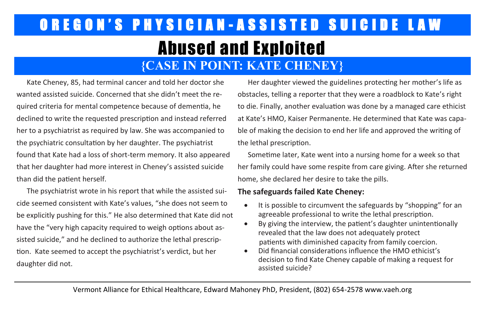## OREGON'S PHYSICIAN-ASSISTED SUICIDE LAW Abused and Exploited

### **{CASE IN POINT: KATE CHENEY}**

Kate Cheney, 85, had terminal cancer and told her doctor she wanted assisted suicide. Concerned that she didn't meet the required criteria for mental competence because of dementia, he declined to write the requested prescription and instead referred her to a psychiatrist as required by law. She was accompanied to the psychiatric consultation by her daughter. The psychiatrist found that Kate had a loss of short-term memory. It also appeared that her daughter had more interest in Cheney's assisted suicide than did the patient herself.

The psychiatrist wrote in his report that while the assisted suicide seemed consistent with Kate's values, "she does not seem to be explicitly pushing for this." He also determined that Kate did not have the "very high capacity required to weigh options about assisted suicide," and he declined to authorize the lethal prescription. Kate seemed to accept the psychiatrist's verdict, but her daughter did not.

Her daughter viewed the guidelines protecting her mother's life as obstacles, telling a reporter that they were a roadblock to Kate's right to die. Finally, another evaluation was done by a managed care ethicist at Kate's HMO, Kaiser Permanente. He determined that Kate was capable of making the decision to end her life and approved the writing of the lethal prescription.

Sometime later, Kate went into a nursing home for a week so that her family could have some respite from care giving. After she returned home, she declared her desire to take the pills.

### **The safeguards failed Kate Cheney:**

- It is possible to circumvent the safeguards by "shopping" for an agreeable professional to write the lethal prescription.
- By giving the interview, the patient's daughter unintentionally revealed that the law does not adequately protect patients with diminished capacity from family coercion.
- Did financial considerations influence the HMO ethicist's decision to find Kate Cheney capable of making a request for assisted suicide?